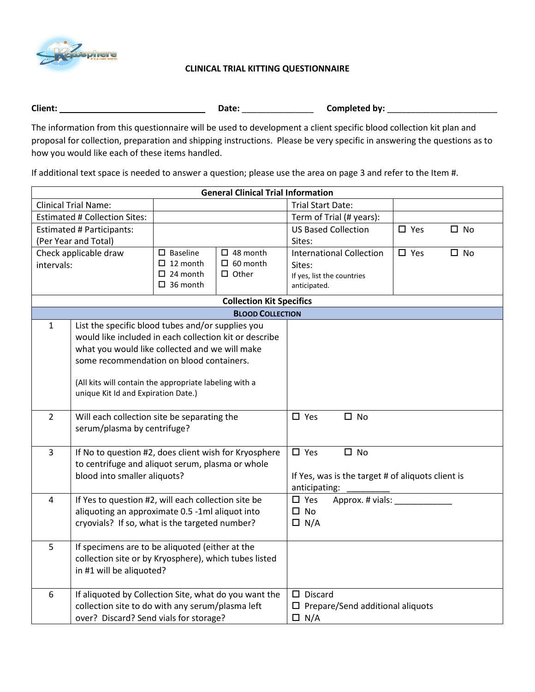

## **CLINICAL TRIAL KITTING QUESTIONNAIRE**

| <b>Client</b> |  | .<br>hv:<br>nm<br>חור<br>. |
|---------------|--|----------------------------|
|---------------|--|----------------------------|

The information from this questionnaire will be used to development a client specific blood collection kit plan and proposal for collection, preparation and shipping instructions. Please be very specific in answering the questions as to how you would like each of these items handled.

If additional text space is needed to answer a question; please use the area on page 3 and refer to the Item #.

| <b>General Clinical Trial Information</b>                     |                                                        |                                                   |                                   |                                 |               |              |
|---------------------------------------------------------------|--------------------------------------------------------|---------------------------------------------------|-----------------------------------|---------------------------------|---------------|--------------|
| <b>Clinical Trial Name:</b>                                   |                                                        | <b>Trial Start Date:</b>                          |                                   |                                 |               |              |
|                                                               | <b>Estimated # Collection Sites:</b>                   |                                                   |                                   | Term of Trial (# years):        |               |              |
|                                                               | <b>Estimated # Participants:</b>                       |                                                   |                                   | <b>US Based Collection</b>      | $\square$ Yes | $\square$ No |
| (Per Year and Total)                                          |                                                        |                                                   |                                   | Sites:                          |               |              |
| Check applicable draw                                         |                                                        | $\square$ Baseline<br>$\Box$ 48 month             |                                   | <b>International Collection</b> | $\square$ Yes | $\square$ No |
| intervals:                                                    |                                                        | $\Box$ 12 month<br>$\Box$ 60 month                |                                   | Sites:                          |               |              |
|                                                               |                                                        | $\Box$ 24 month<br>$\Box$ Other                   |                                   | If yes, list the countries      |               |              |
|                                                               |                                                        | $\Box$ 36 month                                   |                                   | anticipated.                    |               |              |
|                                                               |                                                        |                                                   | <b>Collection Kit Specifics</b>   |                                 |               |              |
|                                                               |                                                        |                                                   | <b>BLOOD COLLECTION</b>           |                                 |               |              |
| $\mathbf{1}$                                                  | List the specific blood tubes and/or supplies you      |                                                   |                                   |                                 |               |              |
|                                                               | would like included in each collection kit or describe |                                                   |                                   |                                 |               |              |
|                                                               | what you would like collected and we will make         |                                                   |                                   |                                 |               |              |
| some recommendation on blood containers.                      |                                                        |                                                   |                                   |                                 |               |              |
| (All kits will contain the appropriate labeling with a        |                                                        |                                                   |                                   |                                 |               |              |
|                                                               | unique Kit Id and Expiration Date.)                    |                                                   |                                   |                                 |               |              |
|                                                               |                                                        |                                                   |                                   |                                 |               |              |
| $\overline{2}$<br>Will each collection site be separating the |                                                        | $\square$ Yes<br>$\square$ No                     |                                   |                                 |               |              |
| serum/plasma by centrifuge?                                   |                                                        |                                                   |                                   |                                 |               |              |
|                                                               |                                                        |                                                   |                                   |                                 |               |              |
| If No to question #2, does client wish for Kryosphere<br>3    |                                                        | $\square$ Yes<br>$\square$ No                     |                                   |                                 |               |              |
| to centrifuge and aliquot serum, plasma or whole              |                                                        |                                                   |                                   |                                 |               |              |
| blood into smaller aliquots?                                  |                                                        | If Yes, was is the target # of aliquots client is |                                   |                                 |               |              |
|                                                               |                                                        | anticipating:                                     |                                   |                                 |               |              |
| 4                                                             | If Yes to question #2, will each collection site be    |                                                   | $\square$ Yes<br>Approx. # vials: |                                 |               |              |
| aliquoting an approximate 0.5 -1ml aliquot into               |                                                        | $\square$ No                                      |                                   |                                 |               |              |
|                                                               | cryovials? If so, what is the targeted number?         |                                                   |                                   | $\Box$ N/A                      |               |              |
| 5                                                             | If specimens are to be aliquoted (either at the        |                                                   |                                   |                                 |               |              |
| collection site or by Kryosphere), which tubes listed         |                                                        |                                                   |                                   |                                 |               |              |
|                                                               | in #1 will be aliquoted?                               |                                                   |                                   |                                 |               |              |
|                                                               |                                                        |                                                   |                                   |                                 |               |              |
| 6                                                             | If aliquoted by Collection Site, what do you want the  |                                                   |                                   | $\square$ Discard               |               |              |
| collection site to do with any serum/plasma left              |                                                        | $\square$ Prepare/Send additional aliquots        |                                   |                                 |               |              |
|                                                               | over? Discard? Send vials for storage?                 |                                                   |                                   | $\Box$ N/A                      |               |              |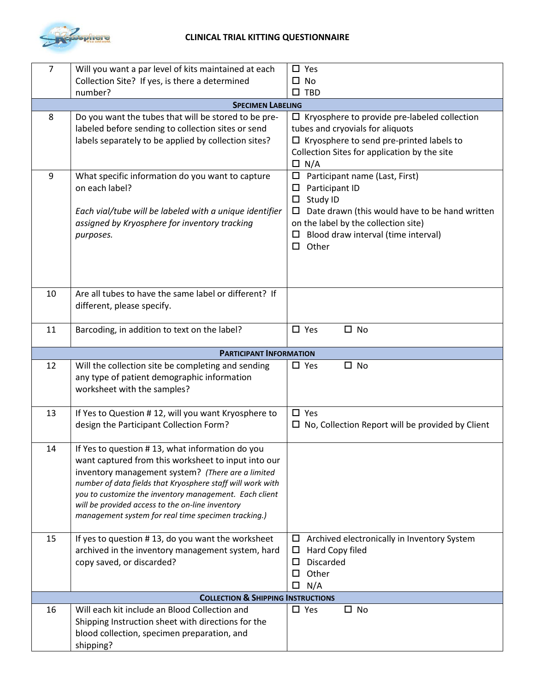

## **CLINICAL TRIAL KITTING QUESTIONNAIRE**

| $\overline{7}$   | Will you want a par level of kits maintained at each                                                                                                                                                                                                                                                                                                                                           | $\square$ Yes                                                                                                                                                                                                                               |  |  |  |
|------------------|------------------------------------------------------------------------------------------------------------------------------------------------------------------------------------------------------------------------------------------------------------------------------------------------------------------------------------------------------------------------------------------------|---------------------------------------------------------------------------------------------------------------------------------------------------------------------------------------------------------------------------------------------|--|--|--|
|                  | Collection Site? If yes, is there a determined                                                                                                                                                                                                                                                                                                                                                 | $\square$ No                                                                                                                                                                                                                                |  |  |  |
|                  | number?                                                                                                                                                                                                                                                                                                                                                                                        | $\square$ TBD                                                                                                                                                                                                                               |  |  |  |
|                  | <b>SPECIMEN LABELING</b>                                                                                                                                                                                                                                                                                                                                                                       |                                                                                                                                                                                                                                             |  |  |  |
| 8                | Do you want the tubes that will be stored to be pre-<br>labeled before sending to collection sites or send<br>labels separately to be applied by collection sites?                                                                                                                                                                                                                             | $\Box$ Kryosphere to provide pre-labeled collection<br>tubes and cryovials for aliquots<br>$\Box$ Kryosphere to send pre-printed labels to<br>Collection Sites for application by the site<br>$\Box$ N/A                                    |  |  |  |
| $\boldsymbol{9}$ | What specific information do you want to capture<br>on each label?<br>Each vial/tube will be labeled with a unique identifier<br>assigned by Kryosphere for inventory tracking<br>purposes.                                                                                                                                                                                                    | $\Box$ Participant name (Last, First)<br>Participant ID<br>□<br>Study ID<br>$\Box$<br>Date drawn (this would have to be hand written<br>□<br>on the label by the collection site)<br>Blood draw interval (time interval)<br>$\square$ Other |  |  |  |
| 10               | Are all tubes to have the same label or different? If<br>different, please specify.                                                                                                                                                                                                                                                                                                            |                                                                                                                                                                                                                                             |  |  |  |
| 11               | Barcoding, in addition to text on the label?                                                                                                                                                                                                                                                                                                                                                   | $\square$ Yes<br>$\square$ No                                                                                                                                                                                                               |  |  |  |
|                  | <b>PARTICIPANT INFORMATION</b>                                                                                                                                                                                                                                                                                                                                                                 |                                                                                                                                                                                                                                             |  |  |  |
| 12               | Will the collection site be completing and sending<br>any type of patient demographic information<br>worksheet with the samples?                                                                                                                                                                                                                                                               | $\square$ No<br>$\square$ Yes                                                                                                                                                                                                               |  |  |  |
| 13               | If Yes to Question #12, will you want Kryosphere to<br>design the Participant Collection Form?                                                                                                                                                                                                                                                                                                 | $\square$ Yes<br>$\Box$ No, Collection Report will be provided by Client                                                                                                                                                                    |  |  |  |
| 14               | If Yes to question #13, what information do you<br>want captured from this worksheet to input into our<br>inventory management system? (There are a limited<br>number of data fields that Kryosphere staff will work with<br>you to customize the inventory management. Each client<br>will be provided access to the on-line inventory<br>management system for real time specimen tracking.) |                                                                                                                                                                                                                                             |  |  |  |
| 15               | If yes to question #13, do you want the worksheet<br>archived in the inventory management system, hard<br>copy saved, or discarded?                                                                                                                                                                                                                                                            | Archived electronically in Inventory System<br>$\Box$<br>Hard Copy filed<br>ப<br>Discarded<br>□<br>Other<br>□<br>N/A<br>□                                                                                                                   |  |  |  |
|                  | <b>COLLECTION &amp; SHIPPING INSTRUCTIONS</b>                                                                                                                                                                                                                                                                                                                                                  |                                                                                                                                                                                                                                             |  |  |  |
| 16               | Will each kit include an Blood Collection and<br>Shipping Instruction sheet with directions for the<br>blood collection, specimen preparation, and<br>shipping?                                                                                                                                                                                                                                | $\square$ Yes<br>$\square$ No                                                                                                                                                                                                               |  |  |  |